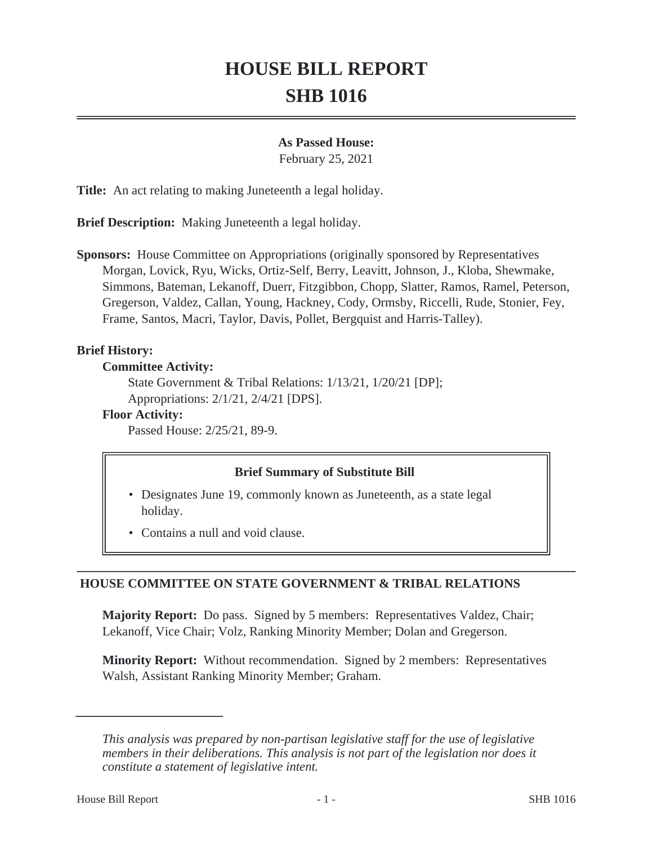# **HOUSE BILL REPORT SHB 1016**

#### **As Passed House:**

February 25, 2021

**Title:** An act relating to making Juneteenth a legal holiday.

**Brief Description:** Making Juneteenth a legal holiday.

**Sponsors:** House Committee on Appropriations (originally sponsored by Representatives Morgan, Lovick, Ryu, Wicks, Ortiz-Self, Berry, Leavitt, Johnson, J., Kloba, Shewmake, Simmons, Bateman, Lekanoff, Duerr, Fitzgibbon, Chopp, Slatter, Ramos, Ramel, Peterson, Gregerson, Valdez, Callan, Young, Hackney, Cody, Ormsby, Riccelli, Rude, Stonier, Fey, Frame, Santos, Macri, Taylor, Davis, Pollet, Bergquist and Harris-Talley).

## **Brief History:**

#### **Committee Activity:**

State Government & Tribal Relations: 1/13/21, 1/20/21 [DP]; Appropriations: 2/1/21, 2/4/21 [DPS].

## **Floor Activity:**

Passed House: 2/25/21, 89-9.

## **Brief Summary of Substitute Bill**

- Designates June 19, commonly known as Juneteenth, as a state legal holiday.
- Contains a null and void clause.

## **HOUSE COMMITTEE ON STATE GOVERNMENT & TRIBAL RELATIONS**

**Majority Report:** Do pass. Signed by 5 members: Representatives Valdez, Chair; Lekanoff, Vice Chair; Volz, Ranking Minority Member; Dolan and Gregerson.

**Minority Report:** Without recommendation. Signed by 2 members: Representatives Walsh, Assistant Ranking Minority Member; Graham.

*This analysis was prepared by non-partisan legislative staff for the use of legislative members in their deliberations. This analysis is not part of the legislation nor does it constitute a statement of legislative intent.*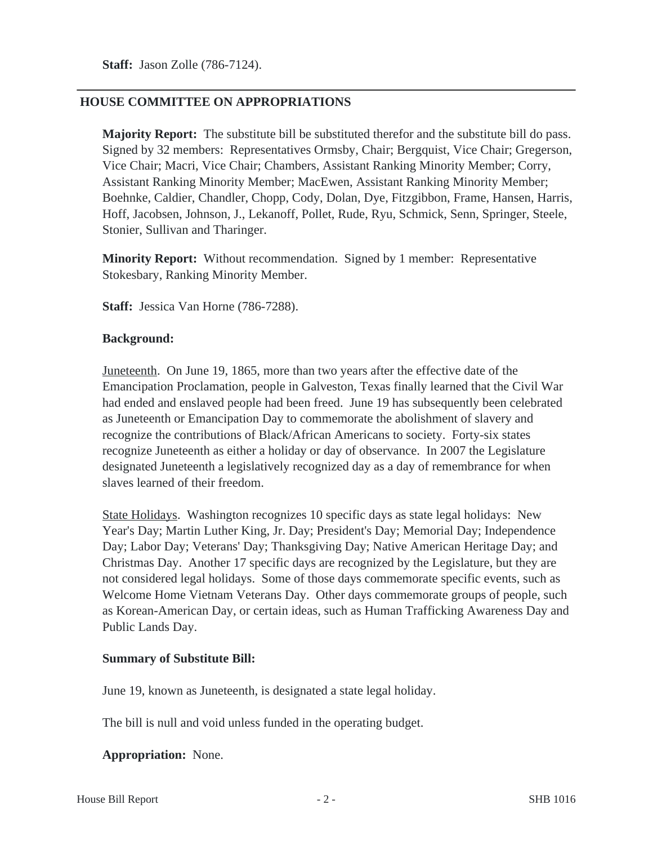## **HOUSE COMMITTEE ON APPROPRIATIONS**

**Majority Report:** The substitute bill be substituted therefor and the substitute bill do pass. Signed by 32 members: Representatives Ormsby, Chair; Bergquist, Vice Chair; Gregerson, Vice Chair; Macri, Vice Chair; Chambers, Assistant Ranking Minority Member; Corry, Assistant Ranking Minority Member; MacEwen, Assistant Ranking Minority Member; Boehnke, Caldier, Chandler, Chopp, Cody, Dolan, Dye, Fitzgibbon, Frame, Hansen, Harris, Hoff, Jacobsen, Johnson, J., Lekanoff, Pollet, Rude, Ryu, Schmick, Senn, Springer, Steele, Stonier, Sullivan and Tharinger.

**Minority Report:** Without recommendation. Signed by 1 member: Representative Stokesbary, Ranking Minority Member.

**Staff:** Jessica Van Horne (786-7288).

#### **Background:**

Juneteenth. On June 19, 1865, more than two years after the effective date of the Emancipation Proclamation, people in Galveston, Texas finally learned that the Civil War had ended and enslaved people had been freed. June 19 has subsequently been celebrated as Juneteenth or Emancipation Day to commemorate the abolishment of slavery and recognize the contributions of Black/African Americans to society. Forty-six states recognize Juneteenth as either a holiday or day of observance. In 2007 the Legislature designated Juneteenth a legislatively recognized day as a day of remembrance for when slaves learned of their freedom.

State Holidays. Washington recognizes 10 specific days as state legal holidays: New Year's Day; Martin Luther King, Jr. Day; President's Day; Memorial Day; Independence Day; Labor Day; Veterans' Day; Thanksgiving Day; Native American Heritage Day; and Christmas Day. Another 17 specific days are recognized by the Legislature, but they are not considered legal holidays. Some of those days commemorate specific events, such as Welcome Home Vietnam Veterans Day. Other days commemorate groups of people, such as Korean-American Day, or certain ideas, such as Human Trafficking Awareness Day and Public Lands Day.

## **Summary of Substitute Bill:**

June 19, known as Juneteenth, is designated a state legal holiday.

The bill is null and void unless funded in the operating budget.

**Appropriation:** None.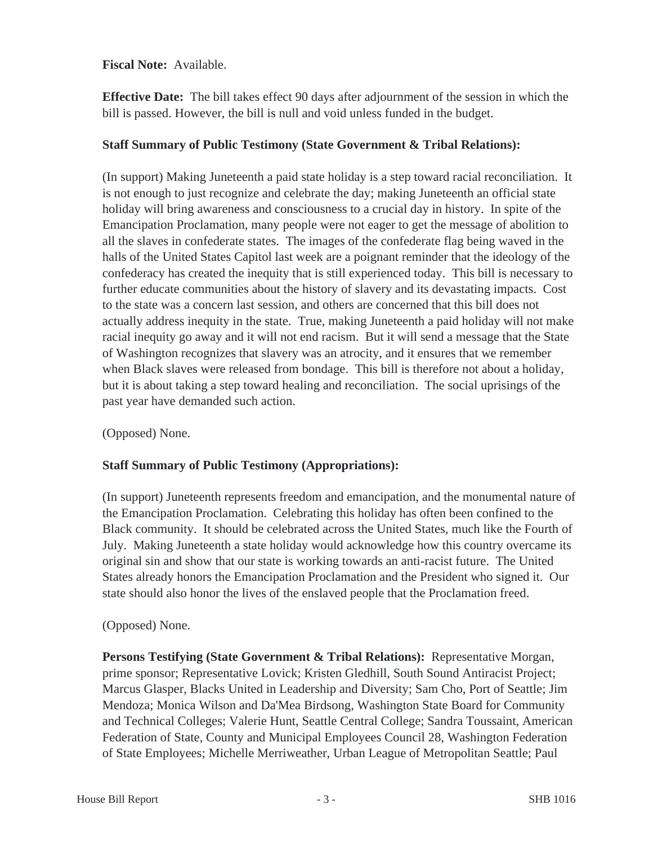**Fiscal Note:** Available.

**Effective Date:** The bill takes effect 90 days after adjournment of the session in which the bill is passed. However, the bill is null and void unless funded in the budget.

## **Staff Summary of Public Testimony (State Government & Tribal Relations):**

(In support) Making Juneteenth a paid state holiday is a step toward racial reconciliation. It is not enough to just recognize and celebrate the day; making Juneteenth an official state holiday will bring awareness and consciousness to a crucial day in history. In spite of the Emancipation Proclamation, many people were not eager to get the message of abolition to all the slaves in confederate states. The images of the confederate flag being waved in the halls of the United States Capitol last week are a poignant reminder that the ideology of the confederacy has created the inequity that is still experienced today. This bill is necessary to further educate communities about the history of slavery and its devastating impacts. Cost to the state was a concern last session, and others are concerned that this bill does not actually address inequity in the state. True, making Juneteenth a paid holiday will not make racial inequity go away and it will not end racism. But it will send a message that the State of Washington recognizes that slavery was an atrocity, and it ensures that we remember when Black slaves were released from bondage. This bill is therefore not about a holiday, but it is about taking a step toward healing and reconciliation. The social uprisings of the past year have demanded such action.

(Opposed) None.

## **Staff Summary of Public Testimony (Appropriations):**

(In support) Juneteenth represents freedom and emancipation, and the monumental nature of the Emancipation Proclamation. Celebrating this holiday has often been confined to the Black community. It should be celebrated across the United States, much like the Fourth of July. Making Juneteenth a state holiday would acknowledge how this country overcame its original sin and show that our state is working towards an anti-racist future. The United States already honors the Emancipation Proclamation and the President who signed it. Our state should also honor the lives of the enslaved people that the Proclamation freed.

## (Opposed) None.

**Persons Testifying (State Government & Tribal Relations):** Representative Morgan, prime sponsor; Representative Lovick; Kristen Gledhill, South Sound Antiracist Project; Marcus Glasper, Blacks United in Leadership and Diversity; Sam Cho, Port of Seattle; Jim Mendoza; Monica Wilson and Da'Mea Birdsong, Washington State Board for Community and Technical Colleges; Valerie Hunt, Seattle Central College; Sandra Toussaint, American Federation of State, County and Municipal Employees Council 28, Washington Federation of State Employees; Michelle Merriweather, Urban League of Metropolitan Seattle; Paul